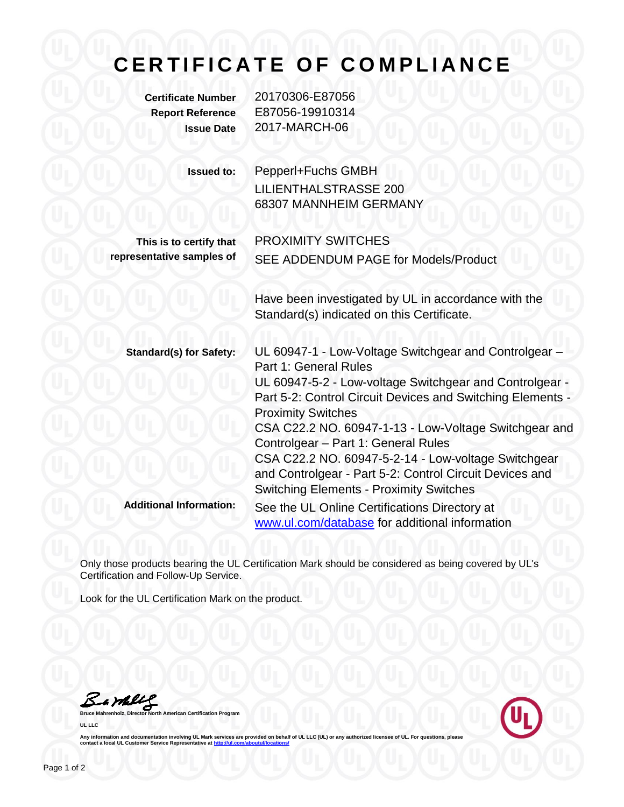## **CERTIFICATE OF COMPLIANCE**

**Certificate Number** 20170306-E87056 **Report Reference** E87056-19910314 **Issue Date** 2017-MARCH-06

| <b>Issued to:</b>                                    | Pepperl+Fuchs GMBH<br><b>LILIENTHALSTRASSE 200</b><br>68307 MANNHEIM GERMANY                                                                                                                                                                                                                                                         |
|------------------------------------------------------|--------------------------------------------------------------------------------------------------------------------------------------------------------------------------------------------------------------------------------------------------------------------------------------------------------------------------------------|
| This is to certify that<br>representative samples of | <b>PROXIMITY SWITCHES</b><br>SEE ADDENDUM PAGE for Models/Product                                                                                                                                                                                                                                                                    |
|                                                      | Have been investigated by UL in accordance with the<br>Standard(s) indicated on this Certificate.                                                                                                                                                                                                                                    |
| <b>Standard(s) for Safety:</b>                       | UL 60947-1 - Low-Voltage Switchgear and Controlgear -<br>Part 1: General Rules<br>UL 60947-5-2 - Low-voltage Switchgear and Controlgear -<br>Part 5-2: Control Circuit Devices and Switching Elements -<br><b>Proximity Switches</b><br>CSA C22.2 NO. 60947-1-13 - Low-Voltage Switchgear and<br>Controlgear - Part 1: General Rules |
| <b>Additional Information:</b>                       | CSA C22.2 NO. 60947-5-2-14 - Low-voltage Switchgear<br>and Controlgear - Part 5-2: Control Circuit Devices and<br><b>Switching Elements - Proximity Switches</b><br>See the UL Online Certifications Directory at<br>www.ul.com/database for additional information                                                                  |

Only those products bearing the UL Certification Mark should be considered as being covered by UL's Certification and Follow-Up Service.

Look for the UL Certification Mark on the product.

Barbles

**Bruce Mahrenholz, Director North American Certification Program UL LLC**



Any information and documentation involving UL Mark services are provided on behalf of UL LLC (UL) or any authorized licensee of UL. For questions, please<br>contact a local UL Customer Service Representative at <u>http://ul.co</u>